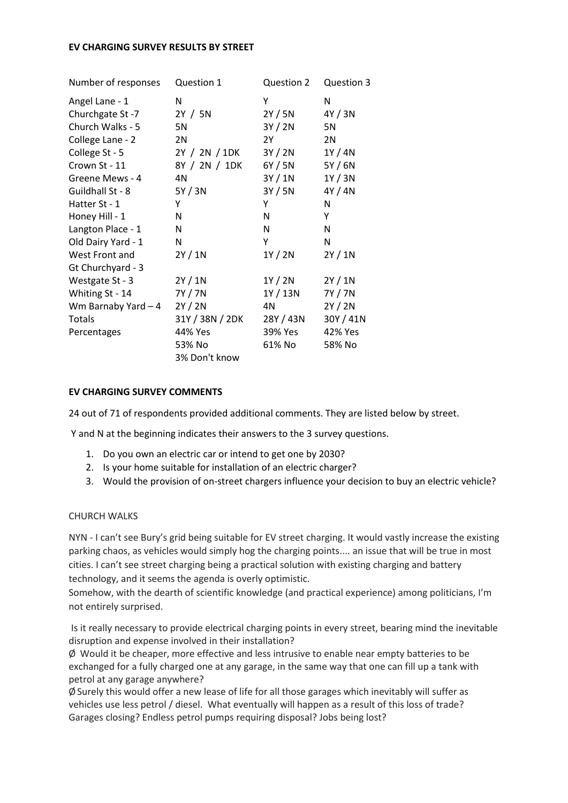#### **EV CHARGING SURVEY RESULTS BY STREET**

| Number of responses | Question 1      | Question 2 | Question 3 |
|---------------------|-----------------|------------|------------|
| Angel Lane - 1      | Ν               | Υ          | N          |
| Churchgate St-7     | 2Y / 5N         | 2Y / 5N    | 4Y / 3N    |
| Church Walks - 5    | 5N              | 3Y / 2N    | 5N         |
| College Lane - 2    | 2N              | 2Y         | 2N         |
| College St - 5      | 2Y / 2N / 1DK   | 3Y / 2N    | 1Y/4N      |
| Crown St - 11       | 8Y / 2N / 1DK   | 6Y / 5N    | 5Y/6N      |
| Greene Mews - 4     | 4N              | 3Y / 1N    | 1Y/3N      |
| Guildhall St - 8    | 5Y/3N           | 3Y/5N      | 4Y / 4N    |
| Hatter St - 1       | Υ               | Υ          | N          |
| Honey Hill - 1      | N               | N          | Y          |
| Langton Place - 1   | N               | N          | N          |
| Old Dairy Yard - 1  | N               | Υ          | N          |
| West Front and      | 2Y/1N           | 1Y / 2N    | 2Y/1N      |
| Gt Churchyard - 3   |                 |            |            |
| Westgate St - 3     | 2Y/1N           | 1Y / 2N    | 2Y/1N      |
| Whiting St - 14     | 7Y / 7N         | 1Y / 13N   | 7Y / 7N    |
| Wm Barnaby Yard - 4 | 2Y / 2N         | 4N         | 2Y / 2N    |
| <b>Totals</b>       | 31Y / 38N / 2DK | 28Y / 43N  | 30Y / 41N  |
| Percentages         | 44% Yes         | 39% Yes    | 42% Yes    |
|                     | 53% No          | 61% No     | 58% No     |
|                     | 3% Don't know   |            |            |

#### **EV CHARGING SURVEY COMMENTS**

24 out of 71 of respondents provided additional comments. They are listed below by street.

Y and N at the beginning indicates their answers to the 3 survey questions.

- 1. Do you own an electric car or intend to get one by 2030?
- 2. Is your home suitable for installation of an electric charger?
- 3. Would the provision of on-street chargers influence your decision to buy an electric vehicle?

#### CHURCH WALKS

NYN - I can't see Bury's grid being suitable for EV street charging. It would vastly increase the existing parking chaos, as vehicles would simply hog the charging points.... an issue that will be true in most cities. I can't see street charging being a practical solution with existing charging and battery technology, and it seems the agenda is overly optimistic.

Somehow, with the dearth of scientific knowledge (and practical experience) among politicians, I'm not entirely surprised.

Is it really necessary to provide electrical charging points in every street, bearing mind the inevitable disruption and expense involved in their installation?

 $\varnothing$  Would it be cheaper, more effective and less intrusive to enable near empty batteries to be exchanged for a fully charged one at any garage, in the same way that one can fill up a tank with petrol at any garage anywhere?

 $\emptyset$  Surely this would offer a new lease of life for all those garages which inevitably will suffer as vehicles use less petrol / diesel. What eventually will happen as a result of this loss of trade? Garages closing? Endless petrol pumps requiring disposal? Jobs being lost?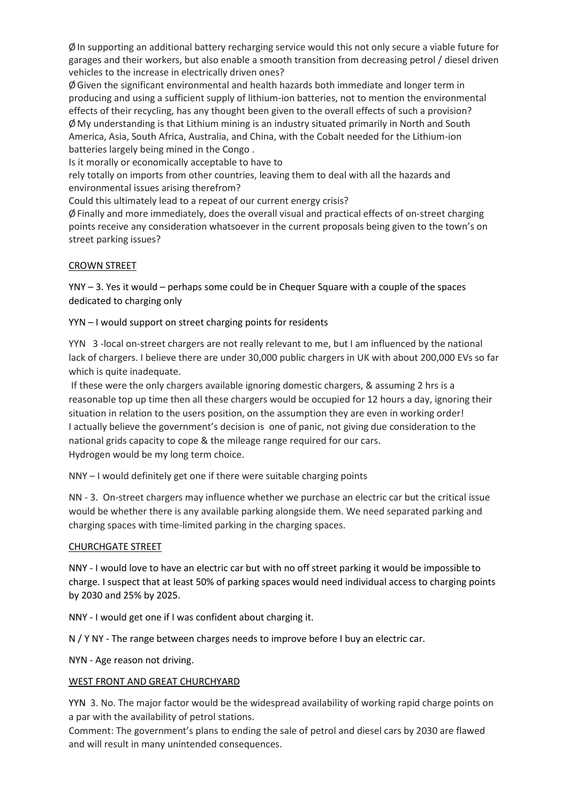$\emptyset$  In supporting an additional battery recharging service would this not only secure a viable future for garages and their workers, but also enable a smooth transition from decreasing petrol / diesel driven vehicles to the increase in electrically driven ones?

ØGiven the significant environmental and health hazards both immediate and longer term in producing and using a sufficient supply of lithium-ion batteries, not to mention the environmental effects of their recycling, has any thought been given to the overall effects of such a provision? ØMy understanding is that Lithium mining is an industry situated primarily in North and South America, Asia, South Africa, Australia, and China, with the Cobalt needed for the Lithium-ion batteries largely being mined in the Congo .

Is it morally or economically acceptable to have to

rely totally on imports from other countries, leaving them to deal with all the hazards and environmental issues arising therefrom?

Could this ultimately lead to a repeat of our current energy crisis?

 $\emptyset$  Finally and more immediately, does the overall visual and practical effects of on-street charging points receive any consideration whatsoever in the current proposals being given to the town's on street parking issues?

# CROWN STREET

YNY – 3. Yes it would – perhaps some could be in Chequer Square with a couple of the spaces dedicated to charging only

# YYN – I would support on street charging points for residents

YYN 3 -local on-street chargers are not really relevant to me, but I am influenced by the national lack of chargers. I believe there are under 30,000 public chargers in UK with about 200,000 EVs so far which is quite inadequate.

If these were the only chargers available ignoring domestic chargers, & assuming 2 hrs is a reasonable top up time then all these chargers would be occupied for 12 hours a day, ignoring their situation in relation to the users position, on the assumption they are even in working order! I actually believe the government's decision is one of panic, not giving due consideration to the national grids capacity to cope & the mileage range required for our cars. Hydrogen would be my long term choice.

NNY – I would definitely get one if there were suitable charging points

NN - 3. On-street chargers may influence whether we purchase an electric car but the critical issue would be whether there is any available parking alongside them. We need separated parking and charging spaces with time-limited parking in the charging spaces.

#### CHURCHGATE STREET

NNY - I would love to have an electric car but with no off street parking it would be impossible to charge. I suspect that at least 50% of parking spaces would need individual access to charging points by 2030 and 25% by 2025.

NNY - I would get one if I was confident about charging it.

N / Y NY - The range between charges needs to improve before I buy an electric car.

NYN - Age reason not driving.

#### WEST FRONT AND GREAT CHURCHYARD

YYN 3. No. The major factor would be the widespread availability of working rapid charge points on a par with the availability of petrol stations.

Comment: The government's plans to ending the sale of petrol and diesel cars by 2030 are flawed and will result in many unintended consequences.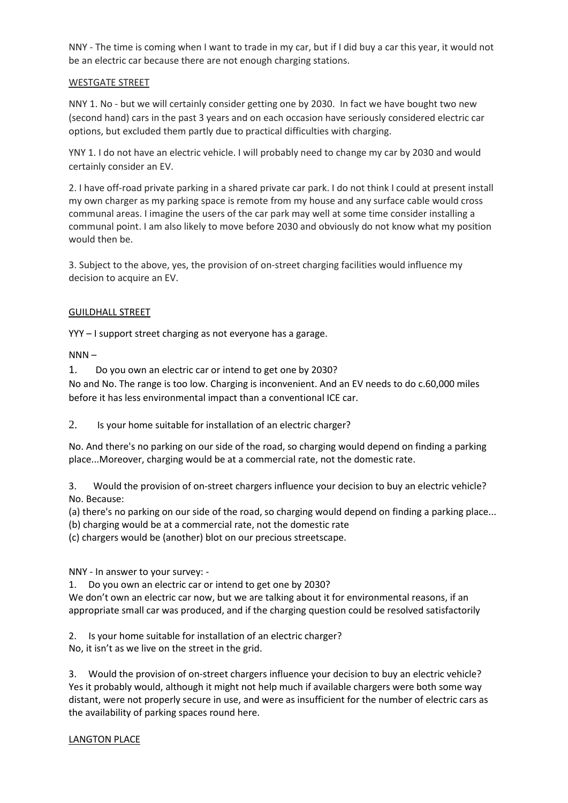NNY - The time is coming when I want to trade in my car, but if I did buy a car this year, it would not be an electric car because there are not enough charging stations.

# WESTGATE STREET

NNY 1. No - but we will certainly consider getting one by 2030. In fact we have bought two new (second hand) cars in the past 3 years and on each occasion have seriously considered electric car options, but excluded them partly due to practical difficulties with charging.

YNY 1. I do not have an electric vehicle. I will probably need to change my car by 2030 and would certainly consider an EV.

2. I have off-road private parking in a shared private car park. I do not think I could at present install my own charger as my parking space is remote from my house and any surface cable would cross communal areas. I imagine the users of the car park may well at some time consider installing a communal point. I am also likely to move before 2030 and obviously do not know what my position would then be.

3. Subject to the above, yes, the provision of on-street charging facilities would influence my decision to acquire an EV.

# GUILDHALL STREET

YYY – I support street charging as not everyone has a garage.

 $NNN -$ 

1. Do you own an electric car or intend to get one by 2030?

No and No. The range is too low. Charging is inconvenient. And an EV needs to do c.60,000 miles before it has less environmental impact than a conventional ICE car.

2. Is your home suitable for installation of an electric charger?

No. And there's no parking on our side of the road, so charging would depend on finding a parking place...Moreover, charging would be at a commercial rate, not the domestic rate.

3. Would the provision of on-street chargers influence your decision to buy an electric vehicle? No. Because:

(a) there's no parking on our side of the road, so charging would depend on finding a parking place...

(b) charging would be at a commercial rate, not the domestic rate

(c) chargers would be (another) blot on our precious streetscape.

NNY - In answer to your survey: -

1. Do you own an electric car or intend to get one by 2030?

We don't own an electric car now, but we are talking about it for environmental reasons, if an appropriate small car was produced, and if the charging question could be resolved satisfactorily

2. Is your home suitable for installation of an electric charger?

No, it isn't as we live on the street in the grid.

3. Would the provision of on-street chargers influence your decision to buy an electric vehicle? Yes it probably would, although it might not help much if available chargers were both some way distant, were not properly secure in use, and were as insufficient for the number of electric cars as the availability of parking spaces round here.

#### LANGTON PLACE